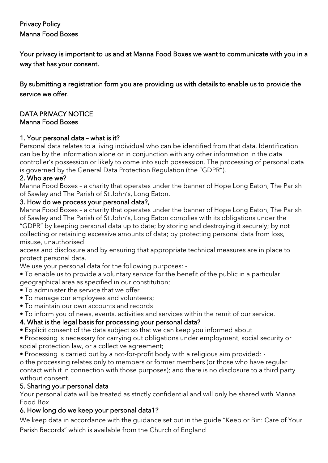### Privacy Policy Manna Food Boxes

Your privacy is important to us and at Manna Food Boxes we want to communicate with you in a way that has your consent.

By submitting a registration form you are providing us with details to enable us to provide the service we offer.

#### DATA PRIVACY NOTICE Manna Food Boxes

### 1. Your personal data – what is it?

Personal data relates to a living individual who can be identified from that data. Identification can be by the information alone or in conjunction with any other information in the data controller's possession or likely to come into such possession. The processing of personal data is governed by the General Data Protection Regulation (the "GDPR").

### 2. Who are we?

Manna Food Boxes – a charity that operates under the banner of Hope Long Eaton, The Parish of Sawley and The Parish of St John's, Long Eaton.

### 3. How do we process your personal data?,

Manna Food Boxes – a charity that operates under the banner of Hope Long Eaton, The Parish of Sawley and The Parish of St John's, Long Eaton complies with its obligations under the "GDPR" by keeping personal data up to date; by storing and destroying it securely; by not collecting or retaining excessive amounts of data; by protecting personal data from loss, misuse, unauthorised

access and disclosure and by ensuring that appropriate technical measures are in place to protect personal data.

We use your personal data for the following purposes: -

- To enable us to provide a voluntary service for the benefit of the public in a particular geographical area as specified in our constitution;
- To administer the service that we offer
- To manage our employees and volunteers;
- To maintain our own accounts and records
- To inform you of news, events, activities and services within the remit of our service.

### 4. What is the legal basis for processing your personal data?

- Explicit consent of the data subject so that we can keep you informed about
- Processing is necessary for carrying out obligations under employment, social security or social protection law, or a collective agreement;
- Processing is carried out by a not-for-profit body with a religious aim provided: -

o the processing relates only to members or former members (or those who have regular contact with it in connection with those purposes); and there is no disclosure to a third party without consent.

### 5. Sharing your personal data

Your personal data will be treated as strictly confidential and will only be shared with Manna Food Box

# 6. How long do we keep your personal data1?

We keep data in accordance with the guidance set out in the guide "Keep or Bin: Care of Your Parish Records" which is available from the Church of England